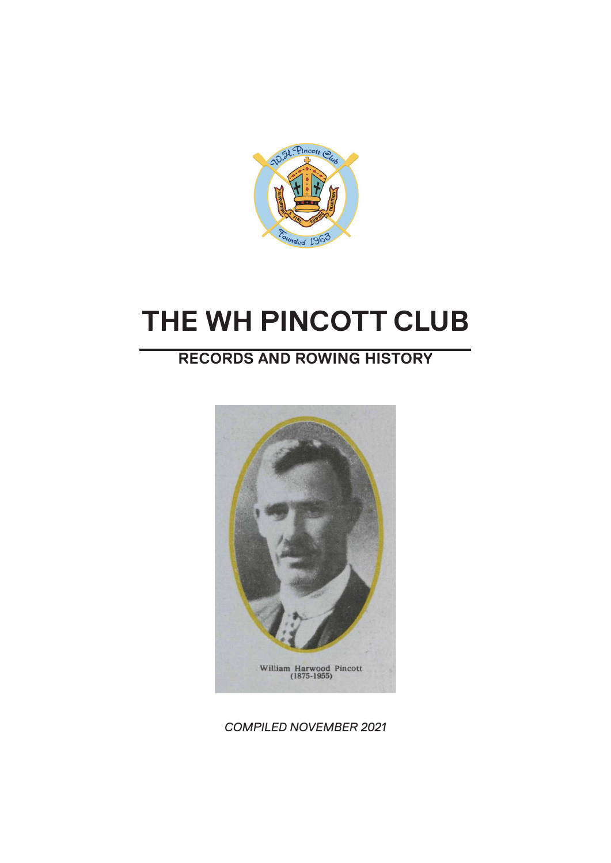

# **THE WH PINCOTT CLUB**

## **RECORDS AND ROWING HISTORY**



*COMPILED NOVEMBER 2021*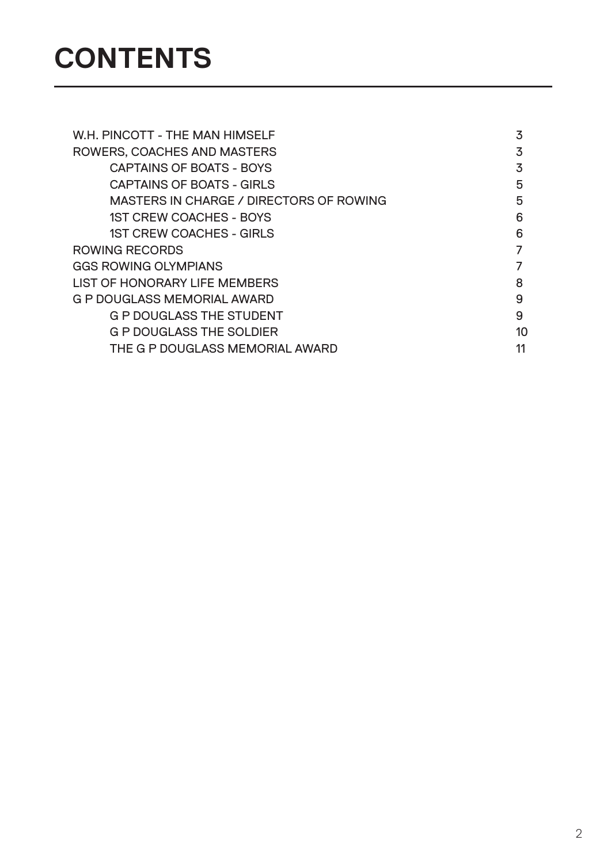# **CONTENTS**

| 3  |
|----|
| 3  |
| 3  |
| 5  |
| 5  |
| 6  |
| 6  |
|    |
| 7  |
| 8  |
| 9  |
| 9  |
| 10 |
| 11 |
|    |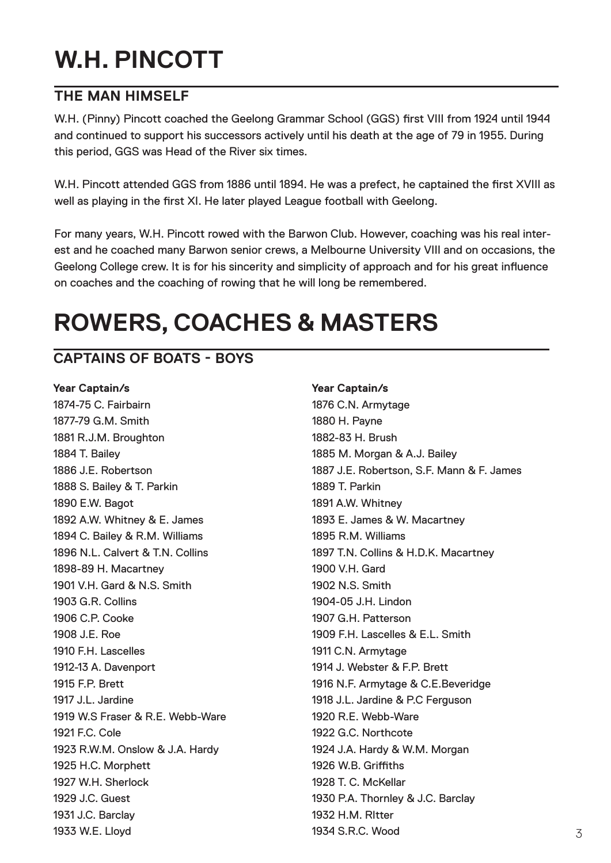# **W.H. PINCOTT**

#### **THE MAN HIMSELF**

W.H. (Pinny) Pincott coached the Geelong Grammar School (GGS) first VIII from 1924 until 1944 and continued to support his successors actively until his death at the age of 79 in 1955. During this period, GGS was Head of the River six times.

W.H. Pincott attended GGS from 1886 until 1894. He was a prefect, he captained the first XVIII as well as playing in the first XI. He later played League football with Geelong.

For many years, W.H. Pincott rowed with the Barwon Club. However, coaching was his real interest and he coached many Barwon senior crews, a Melbourne University VIII and on occasions, the Geelong College crew. It is for his sincerity and simplicity of approach and for his great influence on coaches and the coaching of rowing that he will long be remembered.

## **ROWERS, COACHES & MASTERS**

## **CAPTAINS OF BOATS - BOYS**

#### **Year Captain/s Year Captain/s**

1874-75 C. Fairbairn 1876 C.N. Armytage 1877-79 G.M. Smith 1877-79 G.M. Smith 1881 R.J.M. Broughton 1882-83 H. Brush 1884 T. Bailey **1885 M. Morgan & A.J. Bailey** 1888 S. Bailey & T. Parkin 1889 T. Parkin 1890 E.W. Bagot 1891 A.W. Whitney 1892 A.W. Whitney & E. James 1893 E. James & W. Macartney 1894 C. Bailey & R.M. Williams 1895 R.M. Williams 1898-89 H. Macartney 1900 V.H. Gard 1901 V.H. Gard & N.S. Smith 1902 N.S. Smith 1903 G.R. Collins 1904-05 J.H. Lindon 1906 C.P. Cooke 1907 G.H. Patterson 1908 J.E. Roe 1909 F.H. Lascelles & E.L. Smith 1910 F.H. Lascelles 1910 C.N. Armytage 1912-13 A. Davenport 1914 J. Webster & F.P. Brett 1915 F.P. Brett 1916 N.F. Armytage & C.E.Beveridge 1917 J.L. Jardine 1918 J.L. Jardine & P.C Ferguson 1919 W.S Fraser & R.E. Webb-Ware 1920 R.E. Webb-Ware 1921 F.C. Cole 1922 G.C. Northcote 1923 R.W.M. Onslow & J.A. Hardy 1924 J.A. Hardy & W.M. Morgan 1925 H.C. Morphett 1926 W.B. Griffiths 1927 W.H. Sherlock 1928 T. C. McKellar 1929 J.C. Guest 1930 P.A. Thornley & J.C. Barclay 1931 J.C. Barclay 1932 H.M. RItter 1933 W.E. Lloyd 1934 S.R.C. Wood

# 1886 J.E. Robertson 1887 J.E. Robertson, S.F. Mann & F. James 1896 N.L. Calvert & T.N. Collins 1897 T.N. Collins & H.D.K. Macartney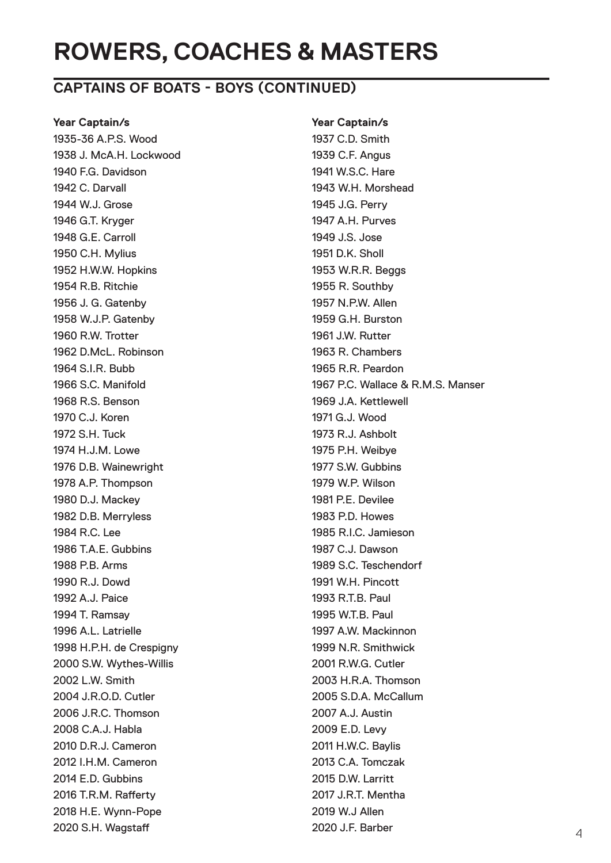## **ROWERS, COACHES & MASTERS**

### **CAPTAINS OF BOATS - BOYS (CONTINUED)**

1935-36 A.P.S. Wood 1937 C.D. Smith 1938 J. McA.H. Lockwood 1939 C.F. Angus 1940 F.G. Davidson 1941 W.S.C. Hare 1942 C. Darvall 1943 W.H. Morshead 1944 W.J. Grose 1945 J.G. Perry 1946 G.T. Kryger 1947 A.H. Purves 1948 G.E. Carroll 1949 J.S. Jose 1950 C.H. Mylius 1951 D.K. Sholl 1952 H.W.W. Hopkins 1953 W.R.R. Beggs 1954 R.B. Ritchie 1955 R. Southby 1956 J. G. Gatenby 1957 N.P.W. Allen 1958 W.J.P. Gatenby 1959 G.H. Burston 1960 R.W. Trotter 1961 J.W. Rutter 1962 D.McL. Robinson 1963 R. Chambers 1964 S.I.R. Bubb 1965 R.R. Peardon 1968 R.S. Benson 1969 J.A. Kettlewell 1970 C.J. Koren 1971 G.J. Wood 1972 S.H. Tuck 1973 R.J. Ashbolt 1974 H.J.M. Lowe 1975 P.H. Weibye 1976 D.B. Wainewright 1977 S.W. Gubbins 1978 A.P. Thompson 1979 W.P. Wilson 1980 D.J. Mackey 1981 P.E. Devilee 1982 D.B. Merryless 1983 P.D. Howes 1984 R.C. Lee 1985 R.I.C. Jamieson 1986 T.A.E. Gubbins 1987 C.J. Dawson 1988 P.B. Arms 1989 S.C. Teschendorf 1990 R.J. Dowd 1991 W.H. Pincott 1992 A.J. Paice 1993 R.T.B. Paul 1994 T. Ramsay 1995 W.T.B. Paul 1996 A.L. Latrielle 1997 A.W. Mackinnon 1998 H.P.H. de Crespigny 1999 N.R. Smithwick 2000 S.W. Wythes-Willis 2001 R.W.G. Cutler 2002 L.W. Smith 2003 H.R.A. Thomson 2004 J.R.O.D. Cutler 2005 S.D.A. McCallum 2006 J.R.C. Thomson 2007 A.J. Austin 2008 C.A.J. Habla 2009 E.D. Levy 2010 D.R.J. Cameron 2011 H.W.C. Baylis 2012 I.H.M. Cameron 2013 C.A. Tomczak 2014 E.D. Gubbins 2015 D.W. Larritt 2016 T.R.M. Rafferty 2017 J.R.T. Mentha 2018 H.E. Wynn-Pope 2019 W.J Allen 2020 S.H. Wagstaff 2020 J.F. Barber

**Year Captain/s Year Captain/s** 1966 S.C. Manifold 1967 P.C. Wallace & R.M.S. Manser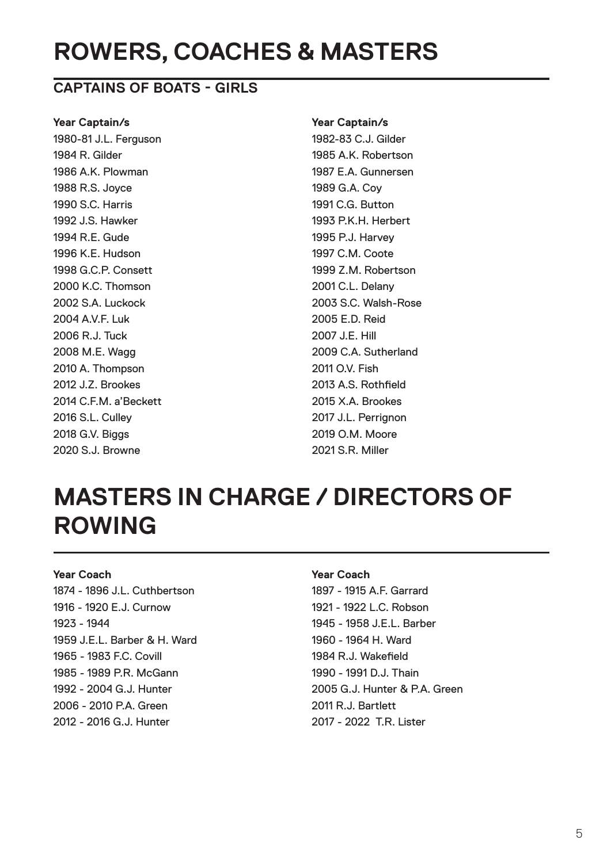## **ROWERS, COACHES & MASTERS**

#### **CAPTAINS OF BOATS - GIRLS**

#### **Year Captain/s Year Captain/s**

1980-81 J.L. Ferguson 1982-83 C.J. Gilder 1984 R. Gilder 1985 A.K. Robertson 1986 A.K. Plowman 1987 E.A. Gunnersen 1988 R.S. Joyce 1989 G.A. Coy 1990 S.C. Harris 1991 C.G. Button 1992 J.S. Hawker 1993 P.K.H. Herbert 1994 R.E. Gude 1995 P.J. Harvey 1996 K.E. Hudson 1997 C.M. Coote 1998 G.C.P. Consett 1999 Z.M. Robertson 2000 K.C. Thomson 2001 C.L. Delany 2002 S.A. Luckock 2003 S.C. Walsh-Rose 2004 A.V.F. Luk 2005 E.D. Reid 2006 R.J. Tuck 2007 J.E. Hill 2008 M.E. Wagg 2009 C.A. Sutherland 2010 A. Thompson 2011 O.V. Fish 2012 J.Z. Brookes 2013 A.S. Rothfield 2014 C.F.M. a'Beckett 2015 X.A. Brookes 2016 S.L. Culley 2017 J.L. Perrignon 2018 G.V. Biggs 2019 O.M. Moore 2020 S.J. Browne 2021 S.R. Miller

## **MASTERS IN CHARGE / DIRECTORS OF ROWING**

#### **Year Coach Year Coach**

1874 - 1896 J.L. Cuthbertson 1897 - 1915 A.F. Garrard 1916 - 1920 E.J. Curnow 1921 - 1922 L.C. Robson 1923 - 1944 1945 - 1958 J.E.L. Barber 1959 J.E.L. Barber & H. Ward 1960 - 1964 H. Ward 1965 - 1983 F.C. Covill 1984 R.J. Wakefield 1985 - 1989 P.R. McGann 1990 - 1990 - 1991 D.J. Thain 2006 - 2010 P.A. Green 2011 R.J. Bartlett 2012 - 2016 G.J. Hunter 2017 - 2022 T.R. Lister

1992 - 2004 G.J. Hunter 2005 G.J. Hunter & P.A. Green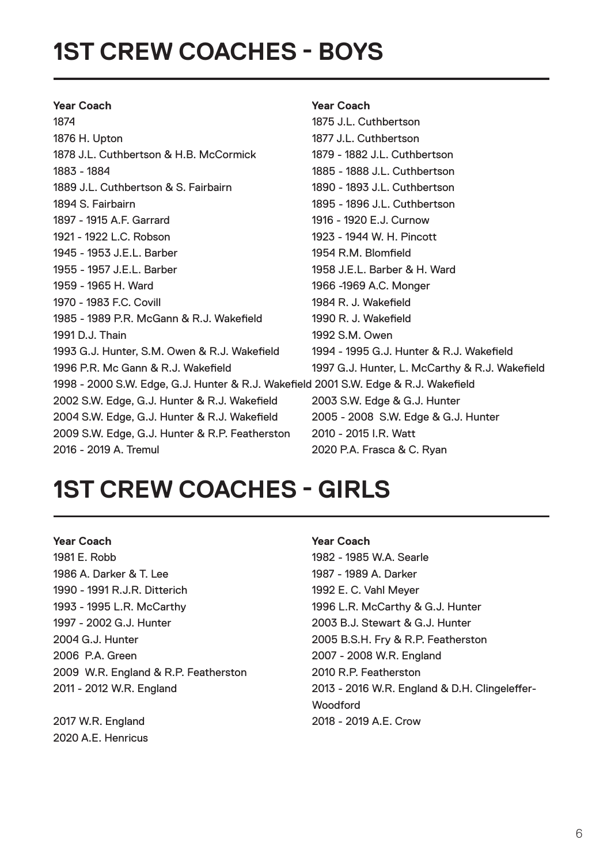## **1ST CREW COACHES - BOYS**

#### **Year Coach Year Coach** 1874 1875 J.L. Cuthbertson 1876 H. Upton 1877 J.L. Cuthbertson 1878 J.L. Cuthbertson & H.B. McCormick 1879 - 1882 J.L. Cuthbertson 1883 - 1884 1885 - 1888 J.L. Cuthbertson 1889 J.L. Cuthbertson & S. Fairbairn 1890 - 1893 J.L. Cuthbertson 1894 S. Fairbairn 1895 - 1896 J.L. Cuthbertson 1897 - 1915 A.F. Garrard 1916 - 1920 E.J. Curnow 1921 - 1922 L.C. Robson 1923 - 1944 W. H. Pincott 1945 - 1953 J.E.L. Barber 1954 R.M. Blomfield 1955 - 1957 J.E.L. Barber 1958 J.E.L. Barber & H. Ward 1959 - 1965 H. Ward 1966 -1969 A.C. Monger 1970 - 1983 F.C. Covill 1984 R. J. Wakefield 1985 - 1989 P.R. McGann & R.J. Wakefield 1990 R. J. Wakefield 1991 D.J. Thain 1992 S.M. Owen 1993 G.J. Hunter, S.M. Owen & R.J. Wakefield 1994 - 1995 G.J. Hunter & R.J. Wakefield 1996 P.R. Mc Gann & R.J. Wakefield 1997 G.J. Hunter, L. McCarthy & R.J. Wakefield 1998 - 2000 S.W. Edge, G.J. Hunter & R.J. Wakefield 2001 S.W. Edge & R.J. Wakefield 2002 S.W. Edge, G.J. Hunter & R.J. Wakefield 2003 S.W. Edge & G.J. Hunter 2004 S.W. Edge, G.J. Hunter & R.J. Wakefield 2005 - 2008 S.W. Edge & G.J. Hunter 2009 S.W. Edge, G.J. Hunter & R.P. Featherston 2010 - 2015 I.R. Watt 2016 - 2019 A. Tremul 2020 P.A. Frasca & C. Ryan

## **1ST CREW COACHES - GIRLS**

1981 E. Robb 1982 - 1985 W.A. Searle 1986 A. Darker & T. Lee 1987 - 1989 A. Darker 1990 - 1991 R.J.R. Ditterich 1992 E. C. Vahl Meyer 1993 - 1995 L.R. McCarthy 1996 L.R. McCarthy & G.J. Hunter 1997 - 2002 G.J. Hunter 2003 B.J. Stewart & G.J. Hunter 2004 G.J. Hunter 2005 B.S.H. Fry & R.P. Featherston 2006 P.A. Green 2007 - 2008 W.R. England 2009 W.R. England & R.P. Featherston 2010 R.P. Featherston

2020 A.E. Henricus

#### **Year Coach Year Coach**

2011 - 2012 W.R. England 2013 - 2016 W.R. England & D.H. Clingeleffer- **Woodford** 2017 W.R. England 2018 - 2019 A.E. Crow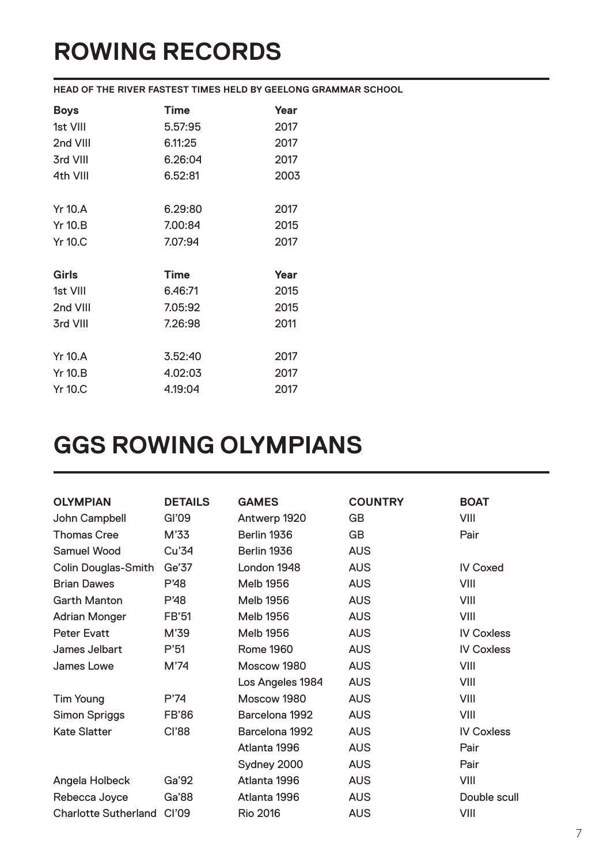# **ROWING RECORDS**

**HEAD OF THE RIVER FASTEST TIMES HELD BY GEELONG GRAMMAR SCHOOL**

| <b>Boys</b>    | <b>Time</b> | Year |
|----------------|-------------|------|
| 1st VIII       | 5.57:95     | 2017 |
| 2nd VIII       | 6.11:25     | 2017 |
| 3rd VIII       | 6.26:04     | 2017 |
| 4th VIII       | 6.52:81     | 2003 |
|                |             |      |
| <b>Yr 10.A</b> | 6.29:80     | 2017 |
| $Yr$ 10. $B$   | 7.00:84     | 2015 |
| <b>Yr 10.C</b> | 7.07:94     | 2017 |
|                |             |      |
| Girls          | <b>Time</b> | Year |
| 1st VIII       | 6.46:71     | 2015 |
| 2nd VIII       | 7.05:92     | 2015 |
| 3rd VIII       | 7.26:98     | 2011 |
|                |             |      |
| <b>Yr 10.A</b> | 3.52:40     | 2017 |
| <b>Yr 10.B</b> | 4.02:03     | 2017 |
| <b>Yr 10.C</b> | 4.19:04     | 2017 |

## **GGS ROWING OLYMPIANS**

| <b>OLYMPIAN</b>             | <b>DETAILS</b> | <b>GAMES</b>     | <b>COUNTRY</b> | <b>BOAT</b>       |
|-----------------------------|----------------|------------------|----------------|-------------------|
| John Campbell               | GI'09          | Antwerp 1920     | <b>GB</b>      | VIII              |
| <b>Thomas Cree</b>          | M'33           | Berlin 1936      | <b>GB</b>      | Pair              |
| <b>Samuel Wood</b>          | Cu'34          | Berlin 1936      | <b>AUS</b>     |                   |
| <b>Colin Douglas-Smith</b>  | Ge'37          | London 1948      | <b>AUS</b>     | <b>IV Coxed</b>   |
| <b>Brian Dawes</b>          | P'48           | <b>Melb 1956</b> | <b>AUS</b>     | VIII              |
| <b>Garth Manton</b>         | P'48           | <b>Melb 1956</b> | <b>AUS</b>     | VIII              |
| <b>Adrian Monger</b>        | FB'51          | <b>Melb 1956</b> | <b>AUS</b>     | VIII              |
| <b>Peter Evatt</b>          | M'39           | <b>Melb 1956</b> | <b>AUS</b>     | <b>IV Coxless</b> |
| James Jelbart               | P'51           | Rome 1960        | <b>AUS</b>     | <b>IV Coxless</b> |
| James Lowe                  | M'74           | Moscow 1980      | <b>AUS</b>     | VIII              |
|                             |                | Los Angeles 1984 | <b>AUS</b>     | VIII              |
| <b>Tim Young</b>            | P'74           | Moscow 1980      | <b>AUS</b>     | VIII              |
| <b>Simon Spriggs</b>        | <b>FB'86</b>   | Barcelona 1992   | <b>AUS</b>     | VIII              |
| <b>Kate Slatter</b>         | <b>Cl'88</b>   | Barcelona 1992   | <b>AUS</b>     | <b>IV Coxless</b> |
|                             |                | Atlanta 1996     | <b>AUS</b>     | Pair              |
|                             |                | Sydney 2000      | <b>AUS</b>     | Pair              |
| Angela Holbeck              | Ga'92          | Atlanta 1996     | <b>AUS</b>     | VIII              |
| Rebecca Joyce               | Ga'88          | Atlanta 1996     | <b>AUS</b>     | Double scull      |
| <b>Charlotte Sutherland</b> | Cl'09          | <b>Rio 2016</b>  | <b>AUS</b>     | VIII              |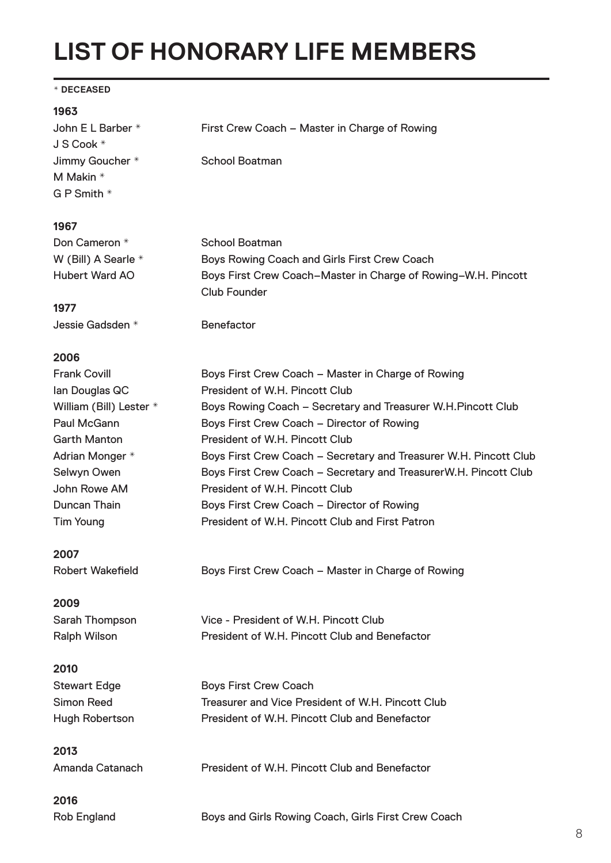## **LIST OF HONORARY LIFE MEMBERS**

#### **\* DECEASED**

#### **1963**

| John E L Barber *<br>J S Cook * | First Crew Coach - Master in Charge of Rowing                                        |  |  |
|---------------------------------|--------------------------------------------------------------------------------------|--|--|
| Jimmy Goucher *                 | <b>School Boatman</b>                                                                |  |  |
| M Makin *                       |                                                                                      |  |  |
| G P Smith *                     |                                                                                      |  |  |
|                                 |                                                                                      |  |  |
| 1967                            |                                                                                      |  |  |
| Don Cameron *                   | <b>School Boatman</b>                                                                |  |  |
| W (Bill) A Searle *             | Boys Rowing Coach and Girls First Crew Coach                                         |  |  |
| <b>Hubert Ward AO</b>           | Boys First Crew Coach-Master in Charge of Rowing-W.H. Pincott<br><b>Club Founder</b> |  |  |
| 1977                            |                                                                                      |  |  |
| Jessie Gadsden *                | <b>Benefactor</b>                                                                    |  |  |
| 2006                            |                                                                                      |  |  |
| <b>Frank Covill</b>             | Boys First Crew Coach - Master in Charge of Rowing                                   |  |  |
| lan Douglas QC                  | President of W.H. Pincott Club                                                       |  |  |
| William (Bill) Lester *         | Boys Rowing Coach - Secretary and Treasurer W.H.Pincott Club                         |  |  |
| <b>Paul McGann</b>              | Boys First Crew Coach - Director of Rowing                                           |  |  |
| <b>Garth Manton</b>             | President of W.H. Pincott Club                                                       |  |  |
| Adrian Monger *                 | Boys First Crew Coach - Secretary and Treasurer W.H. Pincott Club                    |  |  |
| Selwyn Owen                     | Boys First Crew Coach - Secretary and TreasurerW.H. Pincott Club                     |  |  |
| John Rowe AM                    | President of W.H. Pincott Club                                                       |  |  |
| Duncan Thain                    | Boys First Crew Coach - Director of Rowing                                           |  |  |
| <b>Tim Young</b>                | President of W.H. Pincott Club and First Patron                                      |  |  |
| 2007                            |                                                                                      |  |  |
| <b>Robert Wakefield</b>         | Boys First Crew Coach - Master in Charge of Rowing                                   |  |  |
| 2009                            |                                                                                      |  |  |
| Sarah Thompson                  | Vice - President of W.H. Pincott Club                                                |  |  |
| <b>Ralph Wilson</b>             | President of W.H. Pincott Club and Benefactor                                        |  |  |
| 2010                            |                                                                                      |  |  |
| <b>Stewart Edge</b>             | <b>Boys First Crew Coach</b>                                                         |  |  |
| <b>Simon Reed</b>               | Treasurer and Vice President of W.H. Pincott Club                                    |  |  |
| <b>Hugh Robertson</b>           | President of W.H. Pincott Club and Benefactor                                        |  |  |
| 2013                            |                                                                                      |  |  |
| Amanda Catanach                 | President of W.H. Pincott Club and Benefactor                                        |  |  |
| 2016                            |                                                                                      |  |  |
| <b>Rob England</b>              | Boys and Girls Rowing Coach, Girls First Crew Coach                                  |  |  |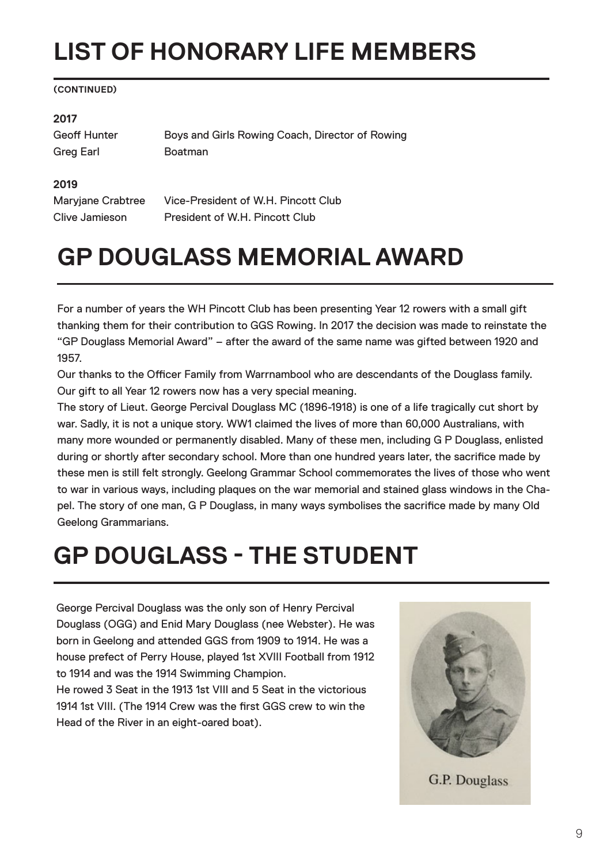# **LIST OF HONORARY LIFE MEMBERS**

#### **(CONTINUED)**

#### **2017**

Greg Earl Boatman

Geoff Hunter **Boys and Girls Rowing Coach, Director of Rowing** 

#### **2019**

Maryjane Crabtree Vice-President of W.H. Pincott Club Clive Jamieson President of W.H. Pincott Club

## **GP DOUGLASS MEMORIAL AWARD**

For a number of years the WH Pincott Club has been presenting Year 12 rowers with a small gift thanking them for their contribution to GGS Rowing. In 2017 the decision was made to reinstate the "GP Douglass Memorial Award" – after the award of the same name was gifted between 1920 and 1957.

Our thanks to the Officer Family from Warrnambool who are descendants of the Douglass family. Our gift to all Year 12 rowers now has a very special meaning.

The story of Lieut. George Percival Douglass MC (1896-1918) is one of a life tragically cut short by war. Sadly, it is not a unique story. WW1 claimed the lives of more than 60,000 Australians, with many more wounded or permanently disabled. Many of these men, including G P Douglass, enlisted during or shortly after secondary school. More than one hundred years later, the sacrifice made by these men is still felt strongly. Geelong Grammar School commemorates the lives of those who went to war in various ways, including plaques on the war memorial and stained glass windows in the Chapel. The story of one man, G P Douglass, in many ways symbolises the sacrifice made by many Old Geelong Grammarians.

## **GP DOUGLASS - THE STUDENT**

George Percival Douglass was the only son of Henry Percival Douglass (OGG) and Enid Mary Douglass (nee Webster). He was born in Geelong and attended GGS from 1909 to 1914. He was a house prefect of Perry House, played 1st XVIII Football from 1912 to 1914 and was the 1914 Swimming Champion.

He rowed 3 Seat in the 1913 1st VIII and 5 Seat in the victorious 1914 1st VIII. (The 1914 Crew was the first GGS crew to win the Head of the River in an eight-oared boat).



**G.P. Douglass**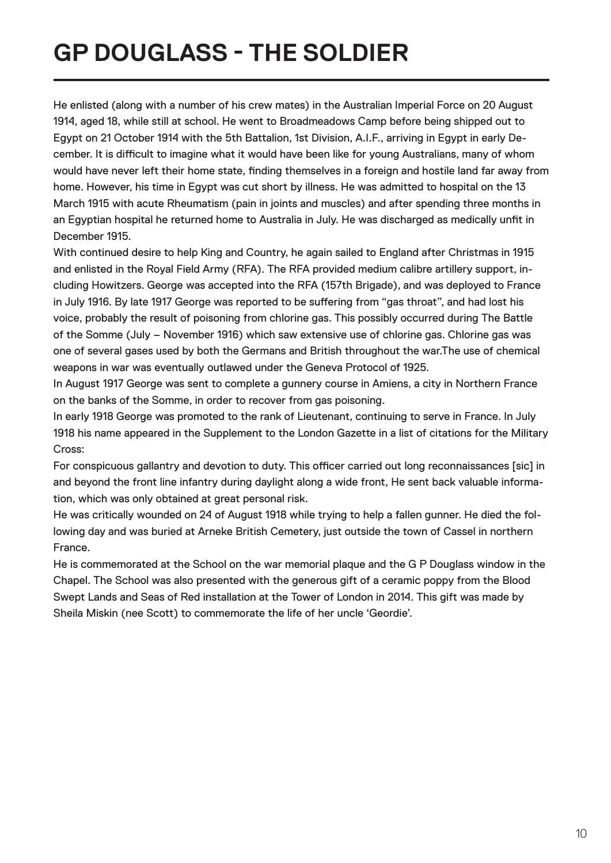# **GP DOUGLASS - THE SOLDIER**

He enlisted (along with a number of his crew mates) in the Australian Imperial Force on 20 August 1914, aged 18, while still at school. He went to Broadmeadows Camp before being shipped out to Egypt on 21 October 1914 with the 5th Battalion, 1st Division, A.I.F., arriving in Egypt in early December. It is difficult to imagine what it would have been like for young Australians, many of whom would have never left their home state, finding themselves in a foreign and hostile land far away from home. However, his time in Egypt was cut short by illness. He was admitted to hospital on the 13 March 1915 with acute Rheumatism (pain in joints and muscles) and after spending three months in an Egyptian hospital he returned home to Australia in July. He was discharged as medically unfit in December 1915.

With continued desire to help King and Country, he again sailed to England after Christmas in 1915 and enlisted in the Royal Field Army (RFA). The RFA provided medium calibre artillery support, including Howitzers. George was accepted into the RFA (157th Brigade), and was deployed to France in July 1916. By late 1917 George was reported to be suffering from "gas throat", and had lost his voice, probably the result of poisoning from chlorine gas. This possibly occurred during The Battle of the Somme (July – November 1916) which saw extensive use of chlorine gas. Chlorine gas was one of several gases used by both the Germans and British throughout the war.The use of chemical weapons in war was eventually outlawed under the Geneva Protocol of 1925.

In August 1917 George was sent to complete a gunnery course in Amiens, a city in Northern France on the banks of the Somme, in order to recover from gas poisoning.

In early 1918 George was promoted to the rank of Lieutenant, continuing to serve in France. In July 1918 his name appeared in the Supplement to the London Gazette in a list of citations for the Military Cross:

For conspicuous gallantry and devotion to duty. This officer carried out long reconnaissances [sic] in and beyond the front line infantry during daylight along a wide front, He sent back valuable information, which was only obtained at great personal risk.

He was critically wounded on 24 of August 1918 while trying to help a fallen gunner. He died the following day and was buried at Arneke British Cemetery, just outside the town of Cassel in northern France.

He is commemorated at the School on the war memorial plaque and the G P Douglass window in the Chapel. The School was also presented with the generous gift of a ceramic poppy from the Blood Swept Lands and Seas of Red installation at the Tower of London in 2014. This gift was made by Sheila Miskin (nee Scott) to commemorate the life of her uncle 'Geordie'.